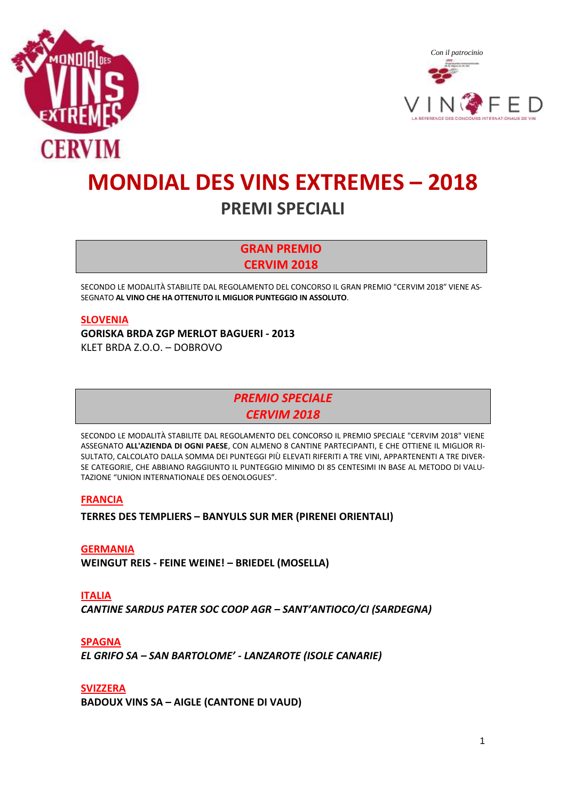



# **MONDIAL DES VINS EXTREMES – 2018 PREMI SPECIALI**

**GRAN PREMIO CERVIM 2018**

SECONDO LE MODALITÀ STABILITE DAL REGOLAMENTO DEL CONCORSO IL GRAN PREMIO "CERVIM 2018" VIENE AS-SEGNATO **AL VINO CHE HA OTTENUTO IL MIGLIOR PUNTEGGIO IN ASSOLUTO**.

#### **SLOVENIA**

**GORISKA BRDA ZGP MERLOT BAGUERI - 2013**  KLET BRDA Z.O.O. – DOBROVO

> *PREMIO SPECIALE CERVIM 2018*

SECONDO LE MODALITÀ STABILITE DAL REGOLAMENTO DEL CONCORSO IL PREMIO SPECIALE "CERVIM 2018" VIENE ASSEGNATO **ALL'AZIENDA DI OGNI PAESE**, CON ALMENO 8 CANTINE PARTECIPANTI, E CHE OTTIENE IL MIGLIOR RI-SULTATO, CALCOLATO DALLA SOMMA DEI PUNTEGGI PIÙ ELEVATI RIFERITI A TRE VINI, APPARTENENTI A TRE DIVER-SE CATEGORIE, CHE ABBIANO RAGGIUNTO IL PUNTEGGIO MINIMO DI 85 CENTESIMI IN BASE AL METODO DI VALU-TAZIONE "UNION INTERNATIONALE DES OENOLOGUES".

#### **FRANCIA**

**TERRES DES TEMPLIERS – BANYULS SUR MER (PIRENEI ORIENTALI)**

#### **GERMANIA**

**WEINGUT REIS - FEINE WEINE! – BRIEDEL (MOSELLA)**

**ITALIA** *CANTINE SARDUS PATER SOC COOP AGR – SANT'ANTIOCO/CI (SARDEGNA)*

**SPAGNA**

*EL GRIFO SA – SAN BARTOLOME' - LANZAROTE (ISOLE CANARIE)*

**SVIZZERA**

**BADOUX VINS SA – AIGLE (CANTONE DI VAUD)**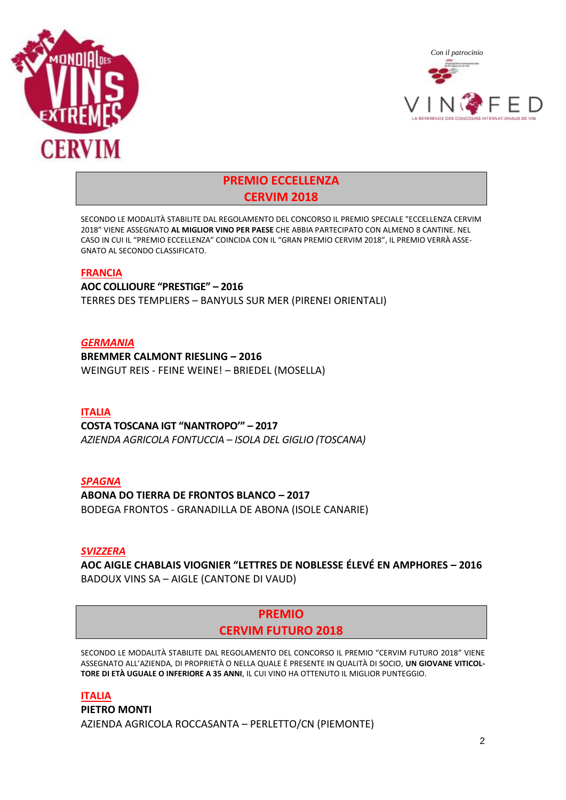



# **PREMIO ECCELLENZA CERVIM 2018**

SECONDO LE MODALITÀ STABILITE DAL REGOLAMENTO DEL CONCORSO IL PREMIO SPECIALE "ECCELLENZA CERVIM 2018" VIENE ASSEGNATO **AL MIGLIOR VINO PER PAESE** CHE ABBIA PARTECIPATO CON ALMENO 8 CANTINE. NEL CASO IN CUI IL "PREMIO ECCELLENZA" COINCIDA CON IL "GRAN PREMIO CERVIM 2018", IL PREMIO VERRÀ ASSE-GNATO AL SECONDO CLASSIFICATO.

#### **FRANCIA**

**AOC COLLIOURE "PRESTIGE" – 2016**  TERRES DES TEMPLIERS – BANYULS SUR MER (PIRENEI ORIENTALI)

#### *GERMANIA*

**BREMMER CALMONT RIESLING – 2016**  WEINGUT REIS - FEINE WEINE! – BRIEDEL (MOSELLA)

#### **ITALIA**

#### **COSTA TOSCANA IGT "NANTROPO'" – 2017**

*AZIENDA AGRICOLA FONTUCCIA – ISOLA DEL GIGLIO (TOSCANA)*

#### *SPAGNA*

#### **ABONA DO TIERRA DE FRONTOS BLANCO – 2017**

BODEGA FRONTOS - GRANADILLA DE ABONA (ISOLE CANARIE)

#### *SVIZZERA*

**AOC AIGLE CHABLAIS VIOGNIER "LETTRES DE NOBLESSE ÉLEVÉ EN AMPHORES – 2016** BADOUX VINS SA – AIGLE (CANTONE DI VAUD)

# **PREMIO CERVIM FUTURO 2018**

SECONDO LE MODALITÀ STABILITE DAL REGOLAMENTO DEL CONCORSO IL PREMIO "CERVIM FUTURO 2018" VIENE ASSEGNATO ALL'AZIENDA, DI PROPRIETÀ O NELLA QUALE È PRESENTE IN QUALITÀ DI SOCIO, **UN GIOVANE VITICOL-TORE DI ETÀ UGUALE O INFERIORE A 35 ANNI**, IL CUI VINO HA OTTENUTO IL MIGLIOR PUNTEGGIO.

#### **ITALIA**

**PIETRO MONTI** AZIENDA AGRICOLA ROCCASANTA – PERLETTO/CN (PIEMONTE)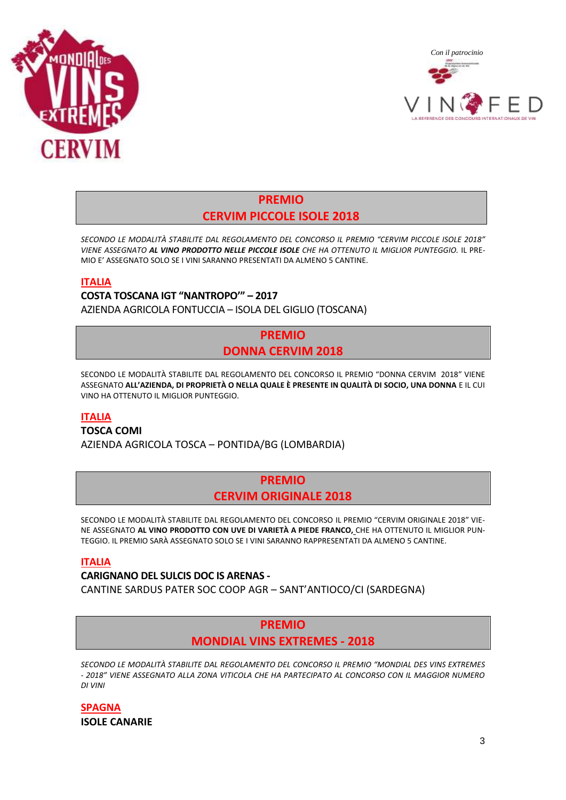



# **PREMIO CERVIM PICCOLE ISOLE 2018**

*SECONDO LE MODALITÀ STABILITE DAL REGOLAMENTO DEL CONCORSO IL PREMIO "CERVIM PICCOLE ISOLE 2018" VIENE ASSEGNATO AL VINO PRODOTTO NELLE PICCOLE ISOLE CHE HA OTTENUTO IL MIGLIOR PUNTEGGIO.* IL PRE-MIO E' ASSEGNATO SOLO SE I VINI SARANNO PRESENTATI DA ALMENO 5 CANTINE.

#### **ITALIA**

**COSTA TOSCANA IGT "NANTROPO'" – 2017** AZIENDA AGRICOLA FONTUCCIA – ISOLA DEL GIGLIO (TOSCANA)

# **PREMIO DONNA CERVIM 2018**

SECONDO LE MODALITÀ STABILITE DAL REGOLAMENTO DEL CONCORSO IL PREMIO "DONNA CERVIM 2018" VIENE ASSEGNATO **ALL'AZIENDA, DI PROPRIETÀ O NELLA QUALE È PRESENTE IN QUALITÀ DI SOCIO, UNA DONNA** E IL CUI VINO HA OTTENUTO IL MIGLIOR PUNTEGGIO.

#### **ITALIA**

**TOSCA COMI**

AZIENDA AGRICOLA TOSCA – PONTIDA/BG (LOMBARDIA)

#### **PREMIO CERVIM ORIGINALE 2018**

SECONDO LE MODALITÀ STABILITE DAL REGOLAMENTO DEL CONCORSO IL PREMIO "CERVIM ORIGINALE 2018" VIE-NE ASSEGNATO **AL VINO PRODOTTO CON UVE DI VARIETÀ A PIEDE FRANCO,** CHE HA OTTENUTO IL MIGLIOR PUN-TEGGIO. IL PREMIO SARÀ ASSEGNATO SOLO SE I VINI SARANNO RAPPRESENTATI DA ALMENO 5 CANTINE.

#### **ITALIA**

*DI VINI*

**CARIGNANO DEL SULCIS DOC IS ARENAS -** CANTINE SARDUS PATER SOC COOP AGR – SANT'ANTIOCO/CI (SARDEGNA)

#### **PREMIO MONDIAL VINS EXTREMES - 2018**

*SECONDO LE MODALITÀ STABILITE DAL REGOLAMENTO DEL CONCORSO IL PREMIO "MONDIAL DES VINS EXTREMES - 2018" VIENE ASSEGNATO ALLA ZONA VITICOLA CHE HA PARTECIPATO AL CONCORSO CON IL MAGGIOR NUMERO* 

**SPAGNA ISOLE CANARIE**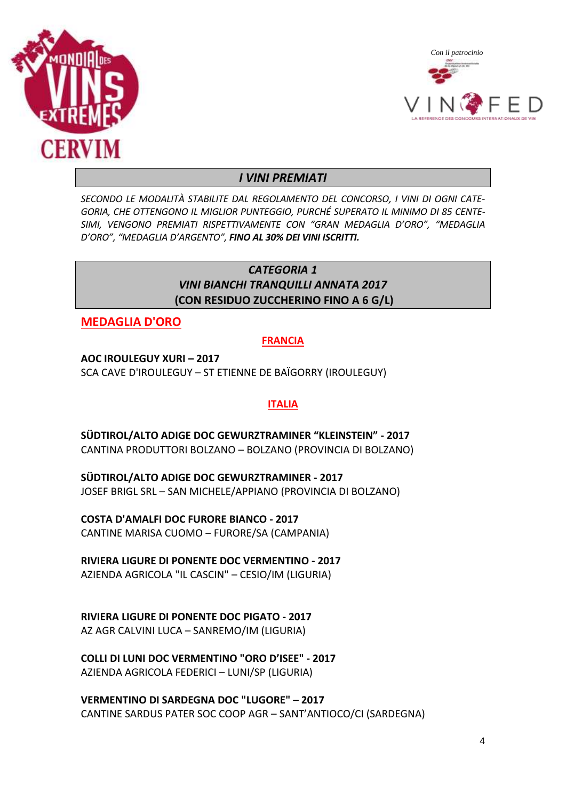



# *I VINI PREMIATI*

*SECONDO LE MODALITÀ STABILITE DAL REGOLAMENTO DEL CONCORSO, I VINI DI OGNI CATE-GORIA, CHE OTTENGONO IL MIGLIOR PUNTEGGIO, PURCHÉ SUPERATO IL MINIMO DI 85 CENTE-SIMI, VENGONO PREMIATI RISPETTIVAMENTE CON "GRAN MEDAGLIA D'ORO", "MEDAGLIA D'ORO", "MEDAGLIA D'ARGENTO", FINO AL 30% DEI VINI ISCRITTI.*

# *CATEGORIA 1 VINI BIANCHI TRANQUILLI ANNATA 2017* **(CON RESIDUO ZUCCHERINO FINO A 6 G/L)**

**MEDAGLIA D'ORO**

#### **FRANCIA**

**AOC IROULEGUY XURI – 2017** SCA CAVE D'IROULEGUY – ST ETIENNE DE BAÏGORRY (IROULEGUY)

#### **ITALIA**

**SÜDTIROL/ALTO ADIGE DOC GEWURZTRAMINER "KLEINSTEIN" - 2017** CANTINA PRODUTTORI BOLZANO – BOLZANO (PROVINCIA DI BOLZANO)

**SÜDTIROL/ALTO ADIGE DOC GEWURZTRAMINER - 2017** JOSEF BRIGL SRL – SAN MICHELE/APPIANO (PROVINCIA DI BOLZANO)

**COSTA D'AMALFI DOC FURORE BIANCO - 2017** CANTINE MARISA CUOMO – FURORE/SA (CAMPANIA)

**RIVIERA LIGURE DI PONENTE DOC VERMENTINO - 2017** AZIENDA AGRICOLA "IL CASCIN" – CESIO/IM (LIGURIA)

**RIVIERA LIGURE DI PONENTE DOC PIGATO - 2017**

AZ AGR CALVINI LUCA – SANREMO/IM (LIGURIA)

**COLLI DI LUNI DOC VERMENTINO "ORO D'ISEE" - 2017** AZIENDA AGRICOLA FEDERICI – LUNI/SP (LIGURIA)

**VERMENTINO DI SARDEGNA DOC "LUGORE" – 2017** CANTINE SARDUS PATER SOC COOP AGR – SANT'ANTIOCO/CI (SARDEGNA)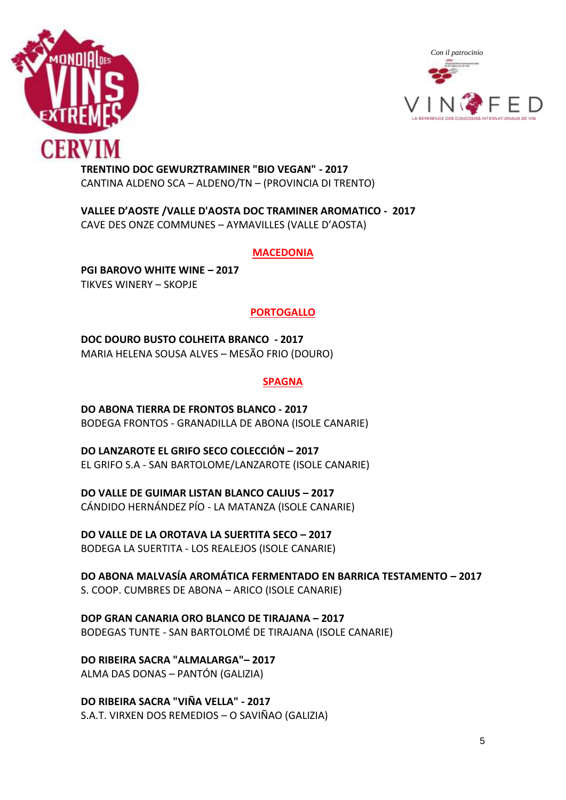



**TRENTINO DOC GEWURZTRAMINER "BIO VEGAN" - 2017** CANTINA ALDENO SCA – ALDENO/TN – (PROVINCIA DI TRENTO)

**VALLEE D'AOSTE /VALLE D'AOSTA DOC TRAMINER AROMATICO - 2017** CAVE DES ONZE COMMUNES – AYMAVILLES (VALLE D'AOSTA)

#### **MACEDONIA**

**PGI BAROVO WHITE WINE – 2017** TIKVES WINERY – SKOPJE

#### **PORTOGALLO**

**DOC DOURO BUSTO COLHEITA BRANCO - 2017** MARIA HELENA SOUSA ALVES – MESÃO FRIO (DOURO)

#### **SPAGNA**

**DO ABONA TIERRA DE FRONTOS BLANCO - 2017** BODEGA FRONTOS - GRANADILLA DE ABONA (ISOLE CANARIE)

**DO LANZAROTE EL GRIFO SECO COLECCIÓN – 2017** EL GRIFO S.A - SAN BARTOLOME/LANZAROTE (ISOLE CANARIE)

**DO VALLE DE GUIMAR LISTAN BLANCO CALIUS – 2017** CÁNDIDO HERNÁNDEZ PÍO - LA MATANZA (ISOLE CANARIE)

**DO VALLE DE LA OROTAVA LA SUERTITA SECO – 2017** BODEGA LA SUERTITA - LOS REALEJOS (ISOLE CANARIE)

**DO ABONA MALVASÍA AROMÁTICA FERMENTADO EN BARRICA TESTAMENTO – 2017** S. COOP. CUMBRES DE ABONA – ARICO (ISOLE CANARIE)

**DOP GRAN CANARIA ORO BLANCO DE TIRAJANA – 2017** BODEGAS TUNTE - SAN BARTOLOMÉ DE TIRAJANA (ISOLE CANARIE)

**DO RIBEIRA SACRA "ALMALARGA"– 2017** ALMA DAS DONAS – PANTÓN (GALIZIA)

**DO RIBEIRA SACRA "VIÑA VELLA" - 2017** S.A.T. VIRXEN DOS REMEDIOS – O SAVIÑAO (GALIZIA)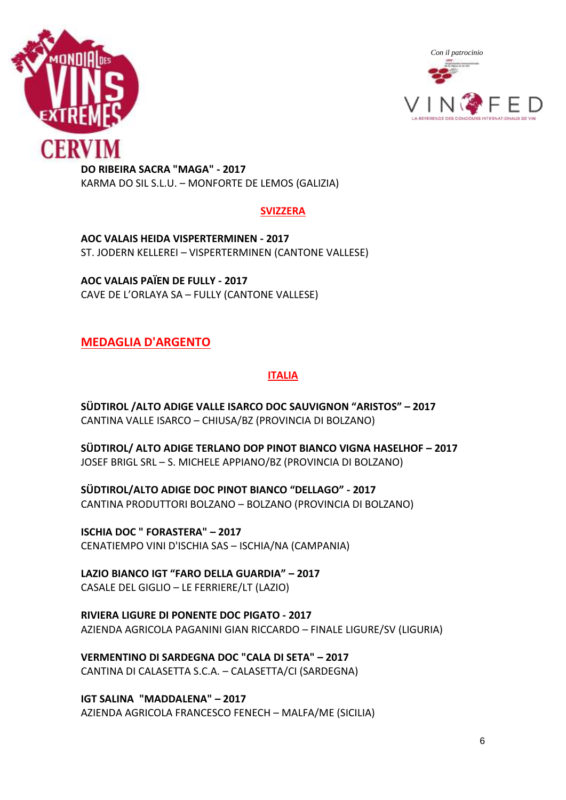



**DO RIBEIRA SACRA "MAGA" - 2017** KARMA DO SIL S.L.U. – MONFORTE DE LEMOS (GALIZIA)

#### **SVIZZERA**

**AOC VALAIS HEIDA VISPERTERMINEN - 2017** ST. JODERN KELLEREI – VISPERTERMINEN (CANTONE VALLESE)

**AOC VALAIS PAÏEN DE FULLY - 2017** CAVE DE L'ORLAYA SA – FULLY (CANTONE VALLESE)

# **MEDAGLIA D'ARGENTO**

# **ITALIA**

**SÜDTIROL /ALTO ADIGE VALLE ISARCO DOC SAUVIGNON "ARISTOS" – 2017** CANTINA VALLE ISARCO – CHIUSA/BZ (PROVINCIA DI BOLZANO)

**SÜDTIROL/ ALTO ADIGE TERLANO DOP PINOT BIANCO VIGNA HASELHOF – 2017** JOSEF BRIGL SRL – S. MICHELE APPIANO/BZ (PROVINCIA DI BOLZANO)

**SÜDTIROL/ALTO ADIGE DOC PINOT BIANCO "DELLAGO" - 2017** CANTINA PRODUTTORI BOLZANO – BOLZANO (PROVINCIA DI BOLZANO)

**ISCHIA DOC " FORASTERA" – 2017** CENATIEMPO VINI D'ISCHIA SAS – ISCHIA/NA (CAMPANIA)

**LAZIO BIANCO IGT "FARO DELLA GUARDIA" – 2017** CASALE DEL GIGLIO – LE FERRIERE/LT (LAZIO)

**RIVIERA LIGURE DI PONENTE DOC PIGATO - 2017** AZIENDA AGRICOLA PAGANINI GIAN RICCARDO – FINALE LIGURE/SV (LIGURIA)

**VERMENTINO DI SARDEGNA DOC "CALA DI SETA" – 2017** CANTINA DI CALASETTA S.C.A. – CALASETTA/CI (SARDEGNA)

**IGT SALINA "MADDALENA" – 2017** AZIENDA AGRICOLA FRANCESCO FENECH – MALFA/ME (SICILIA)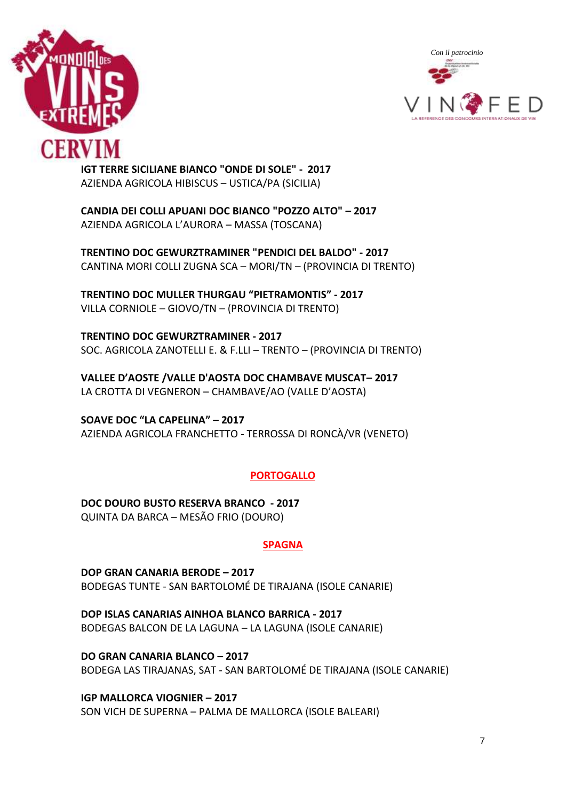



**IGT TERRE SICILIANE BIANCO "ONDE DI SOLE" - 2017** AZIENDA AGRICOLA HIBISCUS – USTICA/PA (SICILIA)

**CANDIA DEI COLLI APUANI DOC BIANCO "POZZO ALTO" – 2017** AZIENDA AGRICOLA L'AURORA – MASSA (TOSCANA)

**TRENTINO DOC GEWURZTRAMINER "PENDICI DEL BALDO" - 2017** CANTINA MORI COLLI ZUGNA SCA – MORI/TN – (PROVINCIA DI TRENTO)

**TRENTINO DOC MULLER THURGAU "PIETRAMONTIS" - 2017** VILLA CORNIOLE – GIOVO/TN – (PROVINCIA DI TRENTO)

**TRENTINO DOC GEWURZTRAMINER - 2017** SOC. AGRICOLA ZANOTELLI E. & F.LLI – TRENTO – (PROVINCIA DI TRENTO)

**VALLEE D'AOSTE /VALLE D'AOSTA DOC CHAMBAVE MUSCAT– 2017** LA CROTTA DI VEGNERON – CHAMBAVE/AO (VALLE D'AOSTA)

**SOAVE DOC "LA CAPELINA" – 2017** AZIENDA AGRICOLA FRANCHETTO - TERROSSA DI RONCÀ/VR (VENETO)

# **PORTOGALLO**

**DOC DOURO BUSTO RESERVA BRANCO - 2017** QUINTA DA BARCA – MESÃO FRIO (DOURO)

# **SPAGNA**

**DOP GRAN CANARIA BERODE – 2017** BODEGAS TUNTE - SAN BARTOLOMÉ DE TIRAJANA (ISOLE CANARIE)

**DOP ISLAS CANARIAS AINHOA BLANCO BARRICA - 2017** BODEGAS BALCON DE LA LAGUNA – LA LAGUNA (ISOLE CANARIE)

**DO GRAN CANARIA BLANCO – 2017** BODEGA LAS TIRAJANAS, SAT - SAN BARTOLOMÉ DE TIRAJANA (ISOLE CANARIE)

**IGP MALLORCA VIOGNIER – 2017** SON VICH DE SUPERNA – PALMA DE MALLORCA (ISOLE BALEARI)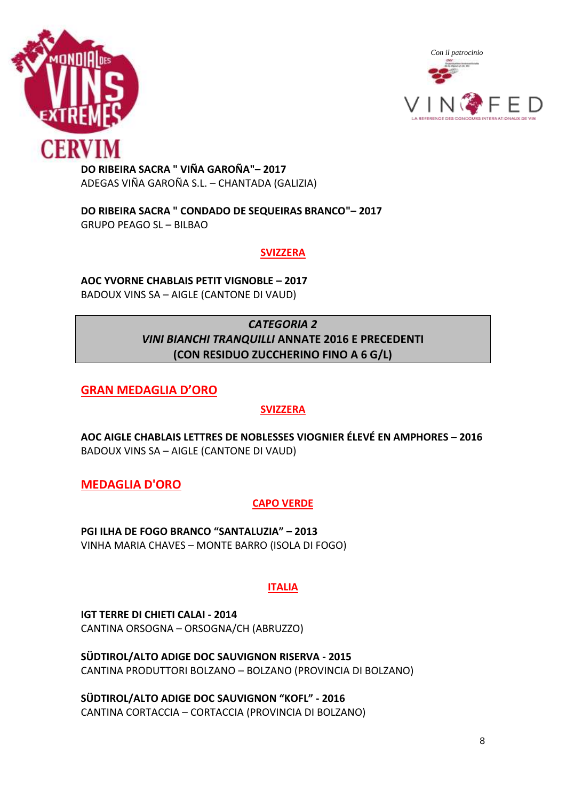



**DO RIBEIRA SACRA " VIÑA GAROÑA"– 2017** ADEGAS VIÑA GAROÑA S.L. – CHANTADA (GALIZIA)

**DO RIBEIRA SACRA " CONDADO DE SEQUEIRAS BRANCO"– 2017** GRUPO PEAGO SL – BILBAO

#### **SVIZZERA**

**AOC YVORNE CHABLAIS PETIT VIGNOBLE – 2017** BADOUX VINS SA – AIGLE (CANTONE DI VAUD)

# *CATEGORIA 2 VINI BIANCHI TRANQUILLI* **ANNATE 2016 E PRECEDENTI (CON RESIDUO ZUCCHERINO FINO A 6 G/L)**

**GRAN MEDAGLIA D'ORO**

# **SVIZZERA**

**AOC AIGLE CHABLAIS LETTRES DE NOBLESSES VIOGNIER ÉLEVÉ EN AMPHORES – 2016** BADOUX VINS SA – AIGLE (CANTONE DI VAUD)

**MEDAGLIA D'ORO**

# **CAPO VERDE**

**PGI ILHA DE FOGO BRANCO "SANTALUZIA" – 2013** VINHA MARIA CHAVES – MONTE BARRO (ISOLA DI FOGO)

# **ITALIA**

**IGT TERRE DI CHIETI CALAI - 2014** CANTINA ORSOGNA – ORSOGNA/CH (ABRUZZO)

**SÜDTIROL/ALTO ADIGE DOC SAUVIGNON RISERVA - 2015** CANTINA PRODUTTORI BOLZANO – BOLZANO (PROVINCIA DI BOLZANO)

**SÜDTIROL/ALTO ADIGE DOC SAUVIGNON "KOFL" - 2016** CANTINA CORTACCIA – CORTACCIA (PROVINCIA DI BOLZANO)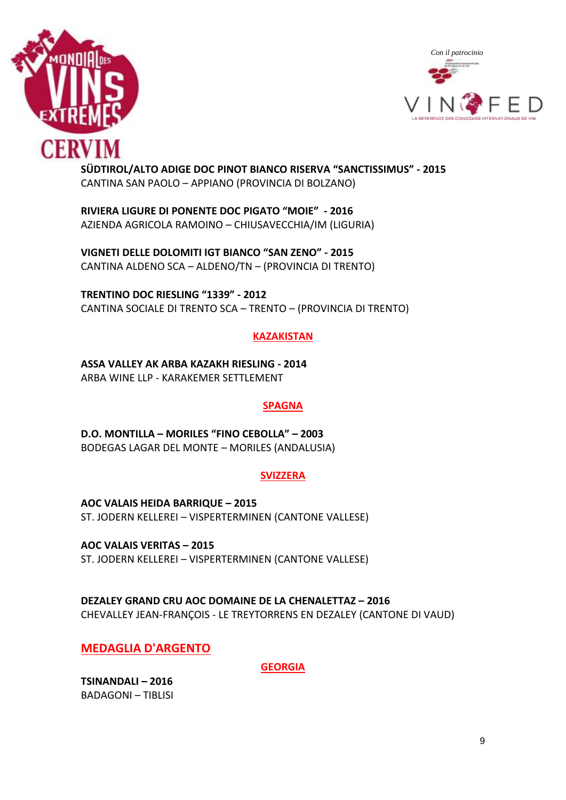



#### **SÜDTIROL/ALTO ADIGE DOC PINOT BIANCO RISERVA "SANCTISSIMUS" - 2015** CANTINA SAN PAOLO – APPIANO (PROVINCIA DI BOLZANO)

**RIVIERA LIGURE DI PONENTE DOC PIGATO "MOIE" - 2016** AZIENDA AGRICOLA RAMOINO – CHIUSAVECCHIA/IM (LIGURIA)

**VIGNETI DELLE DOLOMITI IGT BIANCO "SAN ZENO" - 2015** CANTINA ALDENO SCA – ALDENO/TN – (PROVINCIA DI TRENTO)

**TRENTINO DOC RIESLING "1339" - 2012** CANTINA SOCIALE DI TRENTO SCA – TRENTO – (PROVINCIA DI TRENTO)

# **KAZAKISTAN**

**ASSA VALLEY AK ARBA KAZAKH RIESLING - 2014** ARBA WINE LLP - KARAKEMER SETTLEMENT

#### **SPAGNA**

**D.O. MONTILLA – MORILES "FINO CEBOLLA" – 2003** BODEGAS LAGAR DEL MONTE – MORILES (ANDALUSIA)

#### **SVIZZERA**

**AOC VALAIS HEIDA BARRIQUE – 2015** ST. JODERN KELLEREI – VISPERTERMINEN (CANTONE VALLESE)

**AOC VALAIS VERITAS – 2015** ST. JODERN KELLEREI – VISPERTERMINEN (CANTONE VALLESE)

**DEZALEY GRAND CRU AOC DOMAINE DE LA CHENALETTAZ – 2016** CHEVALLEY JEAN-FRANÇOIS - LE TREYTORRENS EN DEZALEY (CANTONE DI VAUD)

**MEDAGLIA D'ARGENTO**

**GEORGIA**

**TSINANDALI – 2016** BADAGONI – TIBLISI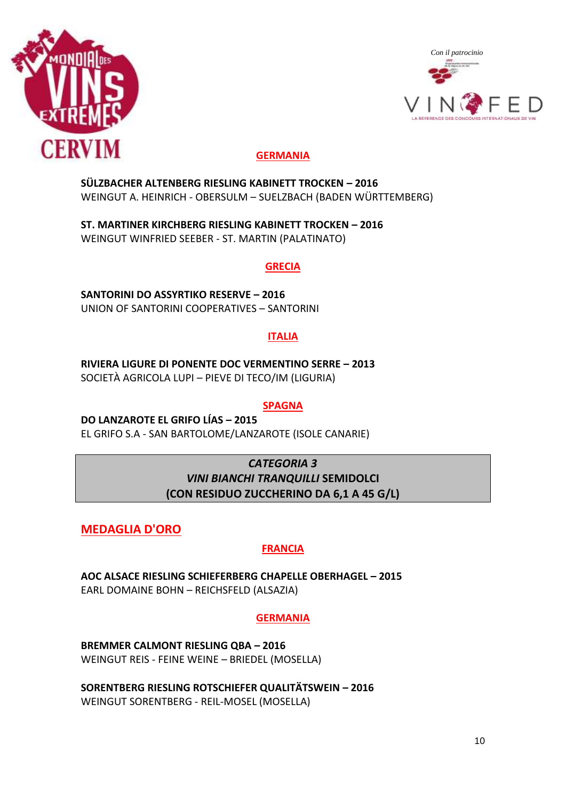



# **GERMANIA**

**SÜLZBACHER ALTENBERG RIESLING KABINETT TROCKEN – 2016** WEINGUT A. HEINRICH - OBERSULM – SUELZBACH (BADEN WÜRTTEMBERG)

**ST. MARTINER KIRCHBERG RIESLING KABINETT TROCKEN – 2016** WEINGUT WINFRIED SEEBER - ST. MARTIN (PALATINATO)

#### **GRECIA**

**SANTORINI DO ASSYRTIKO RESERVE – 2016** UNION OF SANTORINI COOPERATIVES – SANTORINI

# **ITALIA**

**RIVIERA LIGURE DI PONENTE DOC VERMENTINO SERRE – 2013** SOCIETÀ AGRICOLA LUPI – PIEVE DI TECO/IM (LIGURIA)

#### **SPAGNA**

**DO LANZAROTE EL GRIFO LÍAS – 2015** EL GRIFO S.A - SAN BARTOLOME/LANZAROTE (ISOLE CANARIE)

# *CATEGORIA 3 VINI BIANCHI TRANQUILLI* **SEMIDOLCI (CON RESIDUO ZUCCHERINO DA 6,1 A 45 G/L)**

**MEDAGLIA D'ORO**

# **FRANCIA**

**AOC ALSACE RIESLING SCHIEFERBERG CHAPELLE OBERHAGEL – 2015** EARL DOMAINE BOHN – REICHSFELD (ALSAZIA)

# **GERMANIA**

**BREMMER CALMONT RIESLING QBA – 2016** WEINGUT REIS - FEINE WEINE – BRIEDEL (MOSELLA)

**SORENTBERG RIESLING ROTSCHIEFER QUALITÄTSWEIN – 2016** WEINGUT SORENTBERG - REIL-MOSEL (MOSELLA)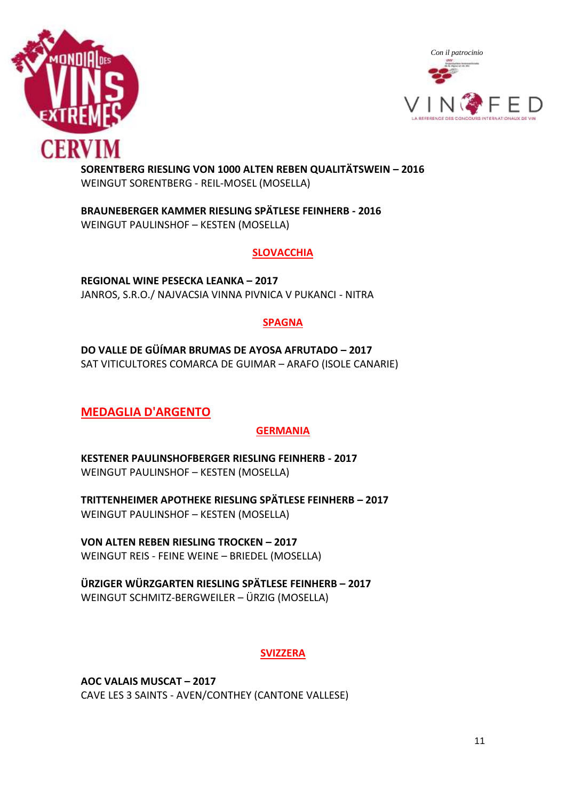



#### **SORENTBERG RIESLING VON 1000 ALTEN REBEN QUALITÄTSWEIN – 2016** WEINGUT SORENTBERG - REIL-MOSEL (MOSELLA)

**BRAUNEBERGER KAMMER RIESLING SPÄTLESE FEINHERB - 2016** WEINGUT PAULINSHOF – KESTEN (MOSELLA)

#### **SLOVACCHIA**

**REGIONAL WINE PESECKA LEANKA – 2017** JANROS, S.R.O./ NAJVACSIA VINNA PIVNICA V PUKANCI - NITRA

#### **SPAGNA**

**DO VALLE DE GÜÍMAR BRUMAS DE AYOSA AFRUTADO – 2017** SAT VITICULTORES COMARCA DE GUIMAR – ARAFO (ISOLE CANARIE)

# **MEDAGLIA D'ARGENTO**

# **GERMANIA**

**KESTENER PAULINSHOFBERGER RIESLING FEINHERB - 2017** WEINGUT PAULINSHOF – KESTEN (MOSELLA)

**TRITTENHEIMER APOTHEKE RIESLING SPÄTLESE FEINHERB – 2017** WEINGUT PAULINSHOF – KESTEN (MOSELLA)

**VON ALTEN REBEN RIESLING TROCKEN – 2017** WEINGUT REIS - FEINE WEINE – BRIEDEL (MOSELLA)

**ÜRZIGER WÜRZGARTEN RIESLING SPÄTLESE FEINHERB – 2017** WEINGUT SCHMITZ-BERGWEILER – ÜRZIG (MOSELLA)

# **SVIZZERA**

**AOC VALAIS MUSCAT – 2017** CAVE LES 3 SAINTS - AVEN/CONTHEY (CANTONE VALLESE)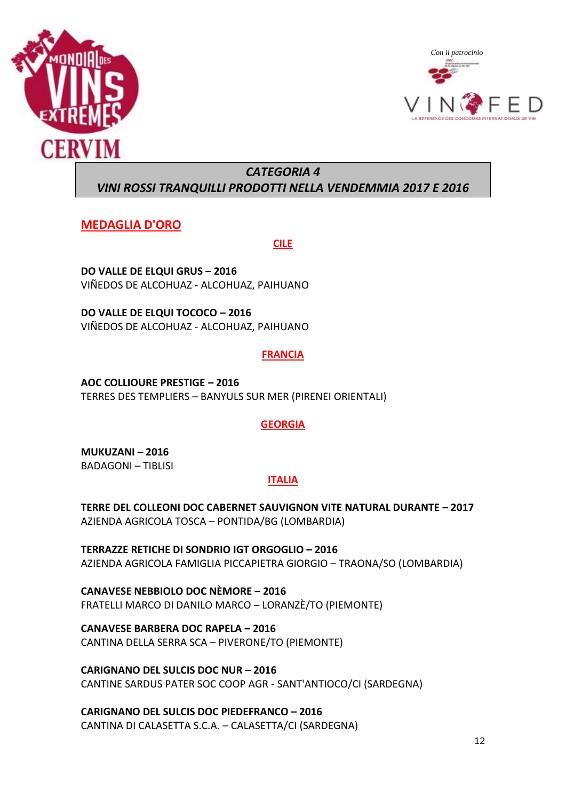



# *CATEGORIA 4*

# *VINI ROSSI TRANQUILLI PRODOTTI NELLA VENDEMMIA 2017 E 2016*

# **MEDAGLIA D'ORO**

**CILE**

**DO VALLE DE ELQUI GRUS – 2016** VIÑEDOS DE ALCOHUAZ - ALCOHUAZ, PAIHUANO

**DO VALLE DE ELQUI TOCOCO – 2016** VIÑEDOS DE ALCOHUAZ - ALCOHUAZ, PAIHUANO

# **FRANCIA**

**AOC COLLIOURE PRESTIGE – 2016** TERRES DES TEMPLIERS – BANYULS SUR MER (PIRENEI ORIENTALI)

# **GEORGIA**

**MUKUZANI – 2016** BADAGONI – TIBLISI

# **ITALIA**

**TERRE DEL COLLEONI DOC CABERNET SAUVIGNON VITE NATURAL DURANTE – 2017** AZIENDA AGRICOLA TOSCA – PONTIDA/BG (LOMBARDIA)

**TERRAZZE RETICHE DI SONDRIO IGT ORGOGLIO – 2016** AZIENDA AGRICOLA FAMIGLIA PICCAPIETRA GIORGIO – TRAONA/SO (LOMBARDIA)

**CANAVESE NEBBIOLO DOC NÈMORE – 2016** FRATELLI MARCO DI DANILO MARCO – LORANZÈ/TO (PIEMONTE)

**CANAVESE BARBERA DOC RAPELA – 2016** CANTINA DELLA SERRA SCA – PIVERONE/TO (PIEMONTE)

**CARIGNANO DEL SULCIS DOC NUR – 2016** CANTINE SARDUS PATER SOC COOP AGR - SANT'ANTIOCO/CI (SARDEGNA)

**CARIGNANO DEL SULCIS DOC PIEDEFRANCO – 2016** CANTINA DI CALASETTA S.C.A. – CALASETTA/CI (SARDEGNA)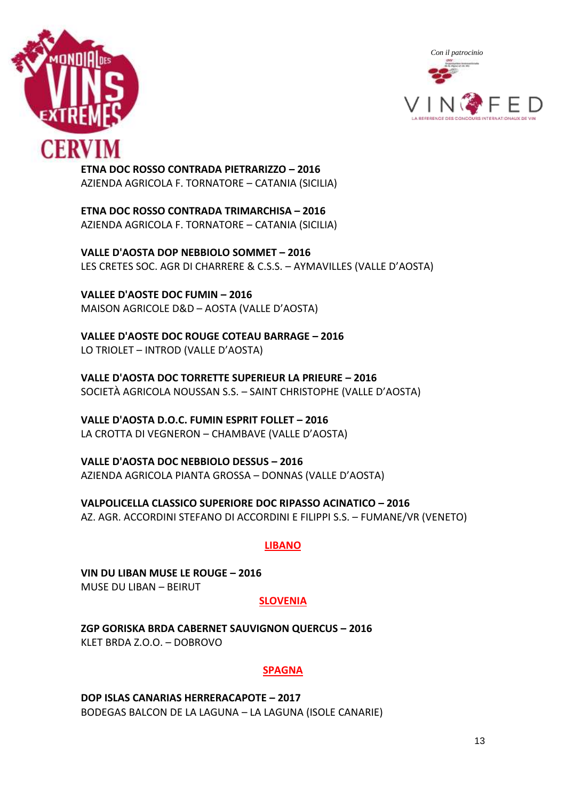



**ETNA DOC ROSSO CONTRADA PIETRARIZZO – 2016** AZIENDA AGRICOLA F. TORNATORE – CATANIA (SICILIA)

**ETNA DOC ROSSO CONTRADA TRIMARCHISA – 2016** AZIENDA AGRICOLA F. TORNATORE – CATANIA (SICILIA)

**VALLE D'AOSTA DOP NEBBIOLO SOMMET – 2016** LES CRETES SOC. AGR DI CHARRERE & C.S.S. – AYMAVILLES (VALLE D'AOSTA)

**VALLEE D'AOSTE DOC FUMIN – 2016** MAISON AGRICOLE D&D – AOSTA (VALLE D'AOSTA)

**VALLEE D'AOSTE DOC ROUGE COTEAU BARRAGE – 2016** LO TRIOLET – INTROD (VALLE D'AOSTA)

**VALLE D'AOSTA DOC TORRETTE SUPERIEUR LA PRIEURE – 2016** SOCIETÀ AGRICOLA NOUSSAN S.S. – SAINT CHRISTOPHE (VALLE D'AOSTA)

**VALLE D'AOSTA D.O.C. FUMIN ESPRIT FOLLET – 2016** LA CROTTA DI VEGNERON – CHAMBAVE (VALLE D'AOSTA)

**VALLE D'AOSTA DOC NEBBIOLO DESSUS – 2016** AZIENDA AGRICOLA PIANTA GROSSA – DONNAS (VALLE D'AOSTA)

**VALPOLICELLA CLASSICO SUPERIORE DOC RIPASSO ACINATICO – 2016** AZ. AGR. ACCORDINI STEFANO DI ACCORDINI E FILIPPI S.S. – FUMANE/VR (VENETO)

#### **LIBANO**

**VIN DU LIBAN MUSE LE ROUGE – 2016** MUSE DU LIBAN – BEIRUT

#### **SLOVENIA**

**ZGP GORISKA BRDA CABERNET SAUVIGNON QUERCUS – 2016** KLET BRDA Z.O.O. – DOBROVO

#### **SPAGNA**

**DOP ISLAS CANARIAS HERRERACAPOTE – 2017** BODEGAS BALCON DE LA LAGUNA – LA LAGUNA (ISOLE CANARIE)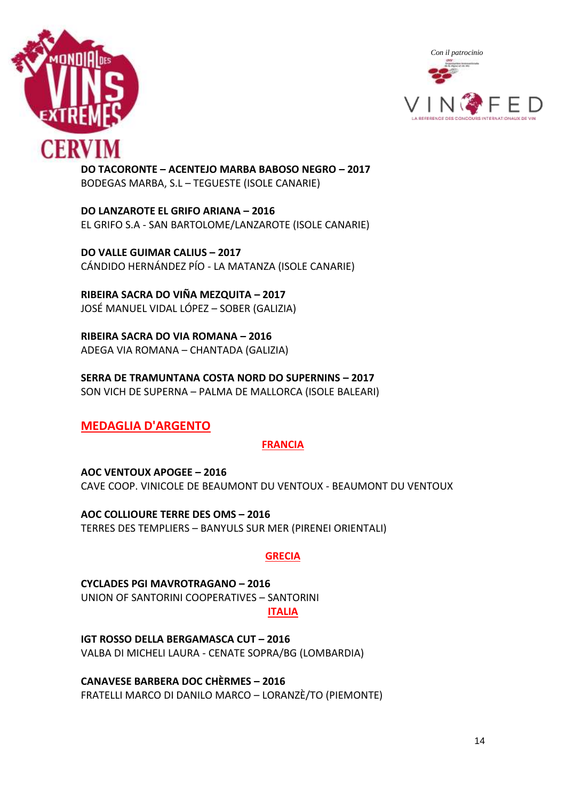



**DO TACORONTE – ACENTEJO MARBA BABOSO NEGRO – 2017** BODEGAS MARBA, S.L – TEGUESTE (ISOLE CANARIE)

**DO LANZAROTE EL GRIFO ARIANA – 2016** EL GRIFO S.A - SAN BARTOLOME/LANZAROTE (ISOLE CANARIE)

**DO VALLE GUIMAR CALIUS – 2017** CÁNDIDO HERNÁNDEZ PÍO - LA MATANZA (ISOLE CANARIE)

**RIBEIRA SACRA DO VIÑA MEZQUITA – 2017** JOSÉ MANUEL VIDAL LÓPEZ – SOBER (GALIZIA)

**RIBEIRA SACRA DO VIA ROMANA – 2016** ADEGA VIA ROMANA – CHANTADA (GALIZIA)

**SERRA DE TRAMUNTANA COSTA NORD DO SUPERNINS – 2017** SON VICH DE SUPERNA – PALMA DE MALLORCA (ISOLE BALEARI)

# **MEDAGLIA D'ARGENTO**

# **FRANCIA**

**AOC VENTOUX APOGEE – 2016** CAVE COOP. VINICOLE DE BEAUMONT DU VENTOUX - BEAUMONT DU VENTOUX

**AOC COLLIOURE TERRE DES OMS – 2016** TERRES DES TEMPLIERS – BANYULS SUR MER (PIRENEI ORIENTALI)

#### **GRECIA**

**CYCLADES PGI MAVROTRAGANO – 2016** UNION OF SANTORINI COOPERATIVES – SANTORINI **ITALIA**

**IGT ROSSO DELLA BERGAMASCA CUT – 2016** VALBA DI MICHELI LAURA - CENATE SOPRA/BG (LOMBARDIA)

**CANAVESE BARBERA DOC CHÈRMES – 2016** FRATELLI MARCO DI DANILO MARCO – LORANZÈ/TO (PIEMONTE)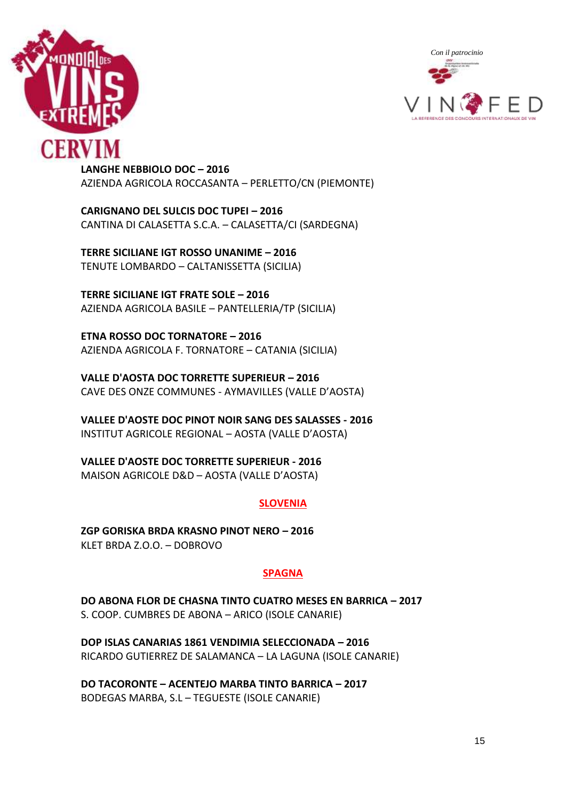



**LANGHE NEBBIOLO DOC – 2016** AZIENDA AGRICOLA ROCCASANTA – PERLETTO/CN (PIEMONTE)

**CARIGNANO DEL SULCIS DOC TUPEI – 2016** CANTINA DI CALASETTA S.C.A. – CALASETTA/CI (SARDEGNA)

**TERRE SICILIANE IGT ROSSO UNANIME – 2016** TENUTE LOMBARDO – CALTANISSETTA (SICILIA)

**TERRE SICILIANE IGT FRATE SOLE – 2016** AZIENDA AGRICOLA BASILE – PANTELLERIA/TP (SICILIA)

**ETNA ROSSO DOC TORNATORE – 2016** AZIENDA AGRICOLA F. TORNATORE – CATANIA (SICILIA)

**VALLE D'AOSTA DOC TORRETTE SUPERIEUR – 2016** CAVE DES ONZE COMMUNES - AYMAVILLES (VALLE D'AOSTA)

**VALLEE D'AOSTE DOC PINOT NOIR SANG DES SALASSES - 2016** INSTITUT AGRICOLE REGIONAL – AOSTA (VALLE D'AOSTA)

**VALLEE D'AOSTE DOC TORRETTE SUPERIEUR - 2016** MAISON AGRICOLE D&D – AOSTA (VALLE D'AOSTA)

# **SLOVENIA**

**ZGP GORISKA BRDA KRASNO PINOT NERO – 2016** KLET BRDA Z.O.O. – DOBROVO

#### **SPAGNA**

**DO ABONA FLOR DE CHASNA TINTO CUATRO MESES EN BARRICA – 2017** S. COOP. CUMBRES DE ABONA – ARICO (ISOLE CANARIE)

**DOP ISLAS CANARIAS 1861 VENDIMIA SELECCIONADA – 2016** RICARDO GUTIERREZ DE SALAMANCA – LA LAGUNA (ISOLE CANARIE)

**DO TACORONTE – ACENTEJO MARBA TINTO BARRICA – 2017** BODEGAS MARBA, S.L – TEGUESTE (ISOLE CANARIE)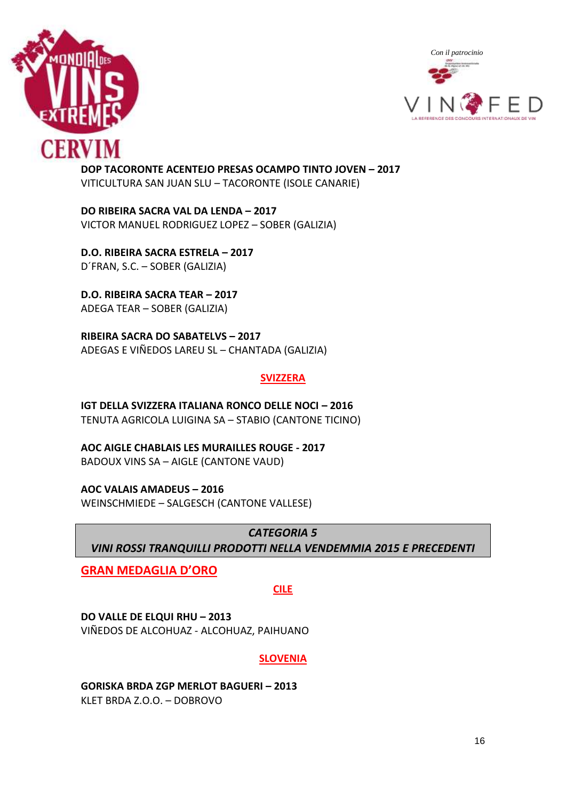



**DOP TACORONTE ACENTEJO PRESAS OCAMPO TINTO JOVEN – 2017** VITICULTURA SAN JUAN SLU – TACORONTE (ISOLE CANARIE)

**DO RIBEIRA SACRA VAL DA LENDA – 2017** VICTOR MANUEL RODRIGUEZ LOPEZ – SOBER (GALIZIA)

**D.O. RIBEIRA SACRA ESTRELA – 2017** D´FRAN, S.C. – SOBER (GALIZIA)

**D.O. RIBEIRA SACRA TEAR – 2017** ADEGA TEAR – SOBER (GALIZIA)

**RIBEIRA SACRA DO SABATELVS – 2017** ADEGAS E VIÑEDOS LAREU SL – CHANTADA (GALIZIA)

#### **SVIZZERA**

**IGT DELLA SVIZZERA ITALIANA RONCO DELLE NOCI - 2016** TENUTA AGRICOLA LUIGINA SA – STABIO (CANTONE TICINO)

**AOC AIGLE CHABLAIS LES MURAILLES ROUGE - 2017** BADOUX VINS SA – AIGLE (CANTONE VAUD)

**AOC VALAIS AMADEUS – 2016**

WEINSCHMIEDE – SALGESCH (CANTONE VALLESE)

*CATEGORIA 5*

*VINI ROSSI TRANQUILLI PRODOTTI NELLA VENDEMMIA 2015 E PRECEDENTI*

**GRAN MEDAGLIA D'ORO**

**CILE**

**DO VALLE DE ELQUI RHU – 2013**

VIÑEDOS DE ALCOHUAZ - ALCOHUAZ, PAIHUANO

#### **SLOVENIA**

**GORISKA BRDA ZGP MERLOT BAGUERI – 2013** KLET BRDA Z.O.O. – DOBROVO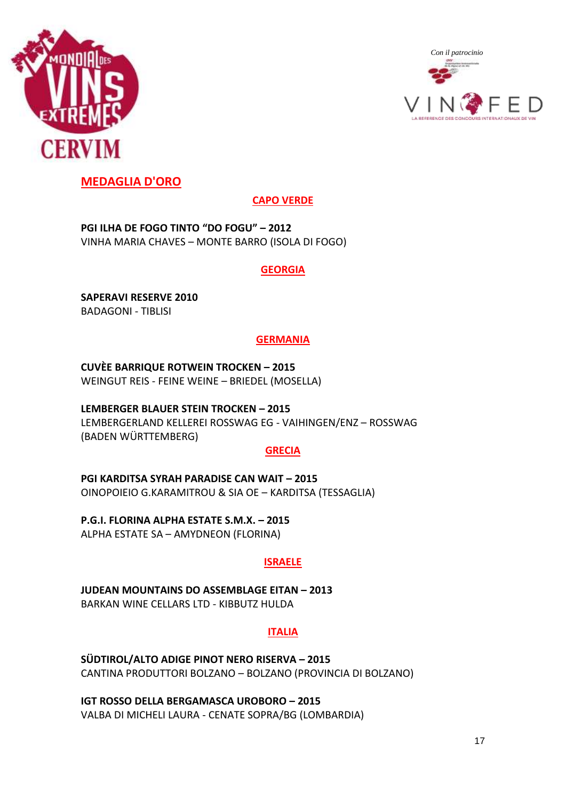



# **MEDAGLIA D'ORO**

# **CAPO VERDE**

**PGI ILHA DE FOGO TINTO "DO FOGU" – 2012** VINHA MARIA CHAVES – MONTE BARRO (ISOLA DI FOGO)

#### **GEORGIA**

**SAPERAVI RESERVE 2010** BADAGONI - TIBLISI

# **GERMANIA**

**CUVÈE BARRIQUE ROTWEIN TROCKEN – 2015** WEINGUT REIS - FEINE WEINE – BRIEDEL (MOSELLA)

**LEMBERGER BLAUER STEIN TROCKEN – 2015** LEMBERGERLAND KELLEREI ROSSWAG EG - VAIHINGEN/ENZ – ROSSWAG (BADEN WÜRTTEMBERG)

#### **GRECIA**

**PGI KARDITSA SYRAH PARADISE CAN WAIT – 2015** OINOPOIEIO G.KARAMITROU & SIA OE – KARDITSA (TESSAGLIA)

**P.G.I. FLORINA ALPHA ESTATE S.M.X. – 2015** ALPHA ESTATE SA – AMYDNEON (FLORINA)

# **ISRAELE**

**JUDEAN MOUNTAINS DO ASSEMBLAGE EITAN – 2013** BARKAN WINE CELLARS LTD - KIBBUTZ HULDA

# **ITALIA**

**SÜDTIROL/ALTO ADIGE PINOT NERO RISERVA – 2015** CANTINA PRODUTTORI BOLZANO – BOLZANO (PROVINCIA DI BOLZANO)

**IGT ROSSO DELLA BERGAMASCA UROBORO – 2015** VALBA DI MICHELI LAURA - CENATE SOPRA/BG (LOMBARDIA)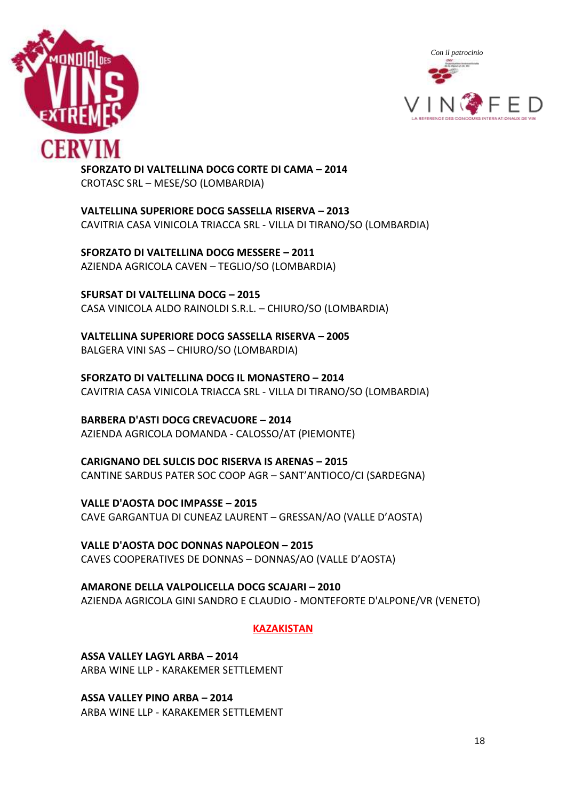



**SFORZATO DI VALTELLINA DOCG CORTE DI CAMA – 2014** CROTASC SRL – MESE/SO (LOMBARDIA)

**VALTELLINA SUPERIORE DOCG SASSELLA RISERVA – 2013** CAVITRIA CASA VINICOLA TRIACCA SRL - VILLA DI TIRANO/SO (LOMBARDIA)

**SFORZATO DI VALTELLINA DOCG MESSERE – 2011** AZIENDA AGRICOLA CAVEN – TEGLIO/SO (LOMBARDIA)

**SFURSAT DI VALTELLINA DOCG – 2015** CASA VINICOLA ALDO RAINOLDI S.R.L. – CHIURO/SO (LOMBARDIA)

**VALTELLINA SUPERIORE DOCG SASSELLA RISERVA – 2005** BALGERA VINI SAS – CHIURO/SO (LOMBARDIA)

**SFORZATO DI VALTELLINA DOCG IL MONASTERO – 2014** CAVITRIA CASA VINICOLA TRIACCA SRL - VILLA DI TIRANO/SO (LOMBARDIA)

**BARBERA D'ASTI DOCG CREVACUORE – 2014** AZIENDA AGRICOLA DOMANDA - CALOSSO/AT (PIEMONTE)

**CARIGNANO DEL SULCIS DOC RISERVA IS ARENAS – 2015** CANTINE SARDUS PATER SOC COOP AGR – SANT'ANTIOCO/CI (SARDEGNA)

**VALLE D'AOSTA DOC IMPASSE – 2015** CAVE GARGANTUA DI CUNEAZ LAURENT – GRESSAN/AO (VALLE D'AOSTA)

**VALLE D'AOSTA DOC DONNAS NAPOLEON – 2015** CAVES COOPERATIVES DE DONNAS – DONNAS/AO (VALLE D'AOSTA)

**AMARONE DELLA VALPOLICELLA DOCG SCAJARI – 2010** AZIENDA AGRICOLA GINI SANDRO E CLAUDIO - MONTEFORTE D'ALPONE/VR (VENETO)

**KAZAKISTAN**

**ASSA VALLEY LAGYL ARBA – 2014** ARBA WINE LLP - KARAKEMER SETTLEMENT

**ASSA VALLEY PINO ARBA – 2014** ARBA WINE LLP - KARAKEMER SETTLEMENT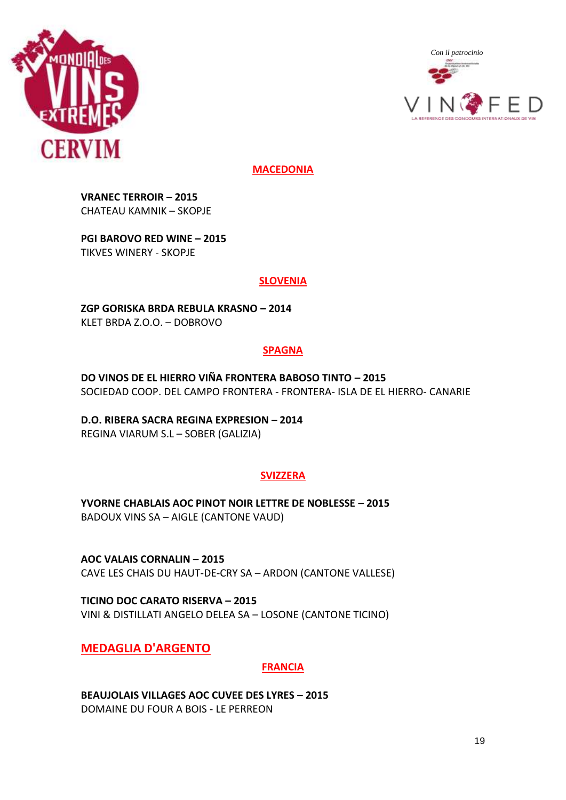



**MACEDONIA**

**VRANEC TERROIR – 2015** CHATEAU KAMNIK – SKOPJE

**PGI BAROVO RED WINE – 2015** TIKVES WINERY - SKOPJE

#### **SLOVENIA**

**ZGP GORISKA BRDA REBULA KRASNO – 2014** KLET BRDA Z.O.O. – DOBROVO

# **SPAGNA**

**DO VINOS DE EL HIERRO VIÑA FRONTERA BABOSO TINTO – 2015** SOCIEDAD COOP. DEL CAMPO FRONTERA - FRONTERA- ISLA DE EL HIERRO- CANARIE

**D.O. RIBERA SACRA REGINA EXPRESION – 2014** REGINA VIARUM S.L – SOBER (GALIZIA)

#### **SVIZZERA**

**YVORNE CHABLAIS AOC PINOT NOIR LETTRE DE NOBLESSE – 2015** BADOUX VINS SA – AIGLE (CANTONE VAUD)

**AOC VALAIS CORNALIN – 2015** CAVE LES CHAIS DU HAUT-DE-CRY SA – ARDON (CANTONE VALLESE)

**TICINO DOC CARATO RISERVA – 2015** VINI & DISTILLATI ANGELO DELEA SA – LOSONE (CANTONE TICINO)

**MEDAGLIA D'ARGENTO**

# **FRANCIA**

**BEAUJOLAIS VILLAGES AOC CUVEE DES LYRES – 2015** DOMAINE DU FOUR A BOIS - LE PERREON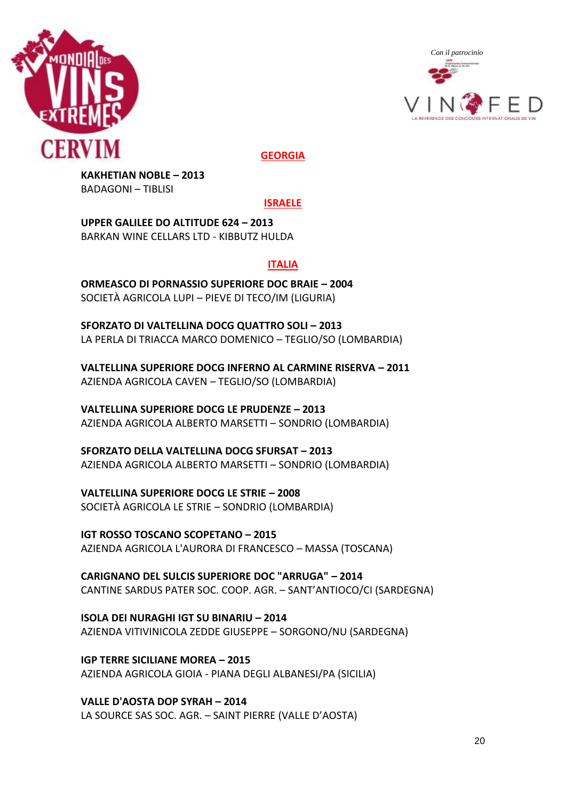



**GEORGIA**

**KAKHETIAN NOBLE – 2013** BADAGONI – TIBLISI

**ISRAELE**

**UPPER GALILEE DO ALTITUDE 624 – 2013** BARKAN WINE CELLARS LTD - KIBBUTZ HULDA

# **ITALIA**

**ORMEASCO DI PORNASSIO SUPERIORE DOC BRAIE – 2004** SOCIETÀ AGRICOLA LUPI – PIEVE DI TECO/IM (LIGURIA)

**SFORZATO DI VALTELLINA DOCG QUATTRO SOLI – 2013** LA PERLA DI TRIACCA MARCO DOMENICO – TEGLIO/SO (LOMBARDIA)

**VALTELLINA SUPERIORE DOCG INFERNO AL CARMINE RISERVA – 2011** AZIENDA AGRICOLA CAVEN – TEGLIO/SO (LOMBARDIA)

**VALTELLINA SUPERIORE DOCG LE PRUDENZE – 2013** AZIENDA AGRICOLA ALBERTO MARSETTI – SONDRIO (LOMBARDIA)

**SFORZATO DELLA VALTELLINA DOCG SFURSAT – 2013** AZIENDA AGRICOLA ALBERTO MARSETTI – SONDRIO (LOMBARDIA)

**VALTELLINA SUPERIORE DOCG LE STRIE – 2008** SOCIETÀ AGRICOLA LE STRIE – SONDRIO (LOMBARDIA)

**IGT ROSSO TOSCANO SCOPETANO – 2015** AZIENDA AGRICOLA L'AURORA DI FRANCESCO – MASSA (TOSCANA)

**CARIGNANO DEL SULCIS SUPERIORE DOC "ARRUGA" – 2014** CANTINE SARDUS PATER SOC. COOP. AGR. – SANT'ANTIOCO/CI (SARDEGNA)

**ISOLA DEI NURAGHI IGT SU BINARIU – 2014** AZIENDA VITIVINICOLA ZEDDE GIUSEPPE – SORGONO/NU (SARDEGNA)

**IGP TERRE SICILIANE MOREA – 2015** AZIENDA AGRICOLA GIOIA - PIANA DEGLI ALBANESI/PA (SICILIA)

**VALLE D'AOSTA DOP SYRAH – 2014** LA SOURCE SAS SOC. AGR. – SAINT PIERRE (VALLE D'AOSTA)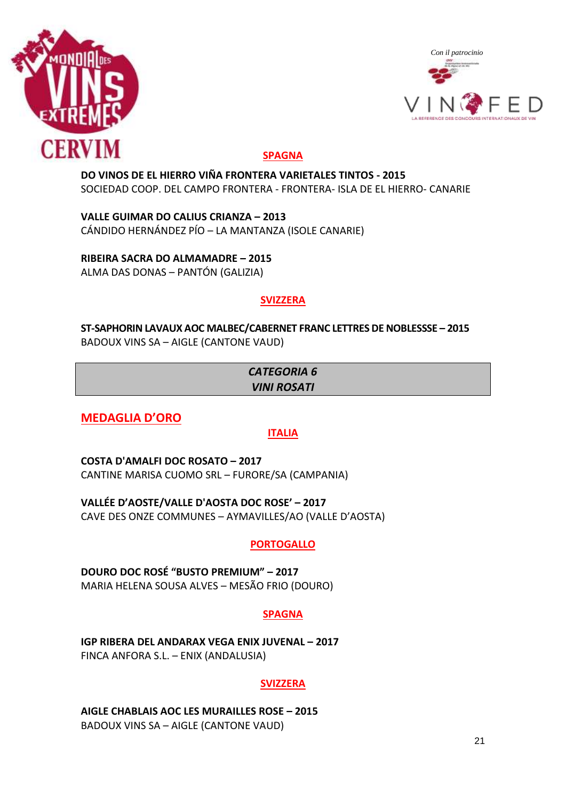



# **SPAGNA**

**DO VINOS DE EL HIERRO VIÑA FRONTERA VARIETALES TINTOS - 2015** SOCIEDAD COOP. DEL CAMPO FRONTERA - FRONTERA- ISLA DE EL HIERRO- CANARIE

**VALLE GUIMAR DO CALIUS CRIANZA – 2013** CÁNDIDO HERNÁNDEZ PÍO – LA MANTANZA (ISOLE CANARIE)

**RIBEIRA SACRA DO ALMAMADRE – 2015** ALMA DAS DONAS – PANTÓN (GALIZIA)

# **SVIZZERA**

**ST-SAPHORIN LAVAUX AOC MALBEC/CABERNET FRANC LETTRES DE NOBLESSSE – 2015** BADOUX VINS SA – AIGLE (CANTONE VAUD)

# *CATEGORIA 6 VINI ROSATI*

**MEDAGLIA D'ORO**

# **ITALIA**

**COSTA D'AMALFI DOC ROSATO – 2017** CANTINE MARISA CUOMO SRL – FURORE/SA (CAMPANIA)

**VALLÉE D'AOSTE/VALLE D'AOSTA DOC ROSE' – 2017** CAVE DES ONZE COMMUNES – AYMAVILLES/AO (VALLE D'AOSTA)

# **PORTOGALLO**

**DOURO DOC ROSÉ "BUSTO PREMIUM" – 2017** MARIA HELENA SOUSA ALVES – MESÃO FRIO (DOURO)

# **SPAGNA**

**IGP RIBERA DEL ANDARAX VEGA ENIX JUVENAL - 2017** FINCA ANFORA S.L. – ENIX (ANDALUSIA)

#### **SVIZZERA**

**AIGLE CHABLAIS AOC LES MURAILLES ROSE – 2015** BADOUX VINS SA – AIGLE (CANTONE VAUD)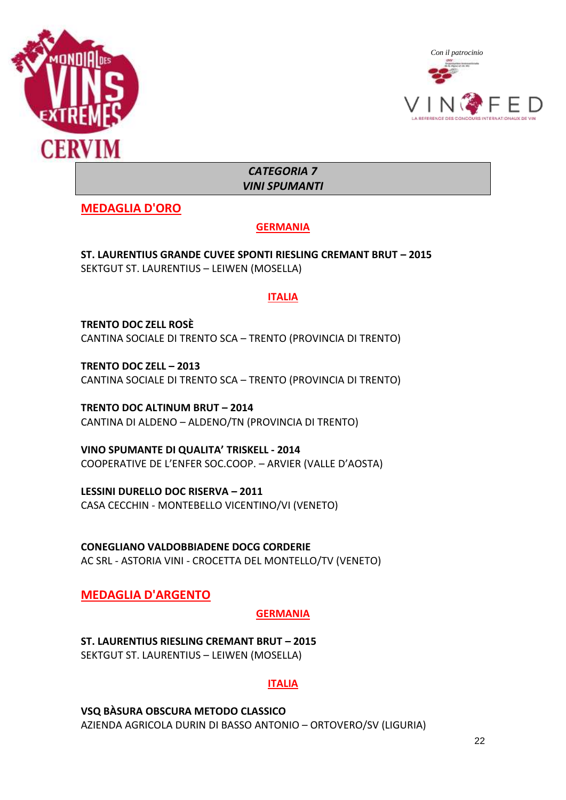



*CATEGORIA 7 VINI SPUMANTI*

**MEDAGLIA D'ORO**

# **GERMANIA**

**ST. LAURENTIUS GRANDE CUVEE SPONTI RIESLING CREMANT BRUT – 2015** SEKTGUT ST. LAURENTIUS – LEIWEN (MOSELLA)

# **ITALIA**

**TRENTO DOC ZELL ROSÈ**  CANTINA SOCIALE DI TRENTO SCA – TRENTO (PROVINCIA DI TRENTO)

**TRENTO DOC ZELL – 2013** CANTINA SOCIALE DI TRENTO SCA – TRENTO (PROVINCIA DI TRENTO)

**TRENTO DOC ALTINUM BRUT – 2014** CANTINA DI ALDENO – ALDENO/TN (PROVINCIA DI TRENTO)

**VINO SPUMANTE DI QUALITA' TRISKELL - 2014** COOPERATIVE DE L'ENFER SOC.COOP. – ARVIER (VALLE D'AOSTA)

**LESSINI DURELLO DOC RISERVA – 2011** CASA CECCHIN - MONTEBELLO VICENTINO/VI (VENETO)

**CONEGLIANO VALDOBBIADENE DOCG CORDERIE**  AC SRL - ASTORIA VINI - CROCETTA DEL MONTELLO/TV (VENETO)

# **MEDAGLIA D'ARGENTO**

# **GERMANIA**

**ST. LAURENTIUS RIESLING CREMANT BRUT – 2015** SEKTGUT ST. LAURENTIUS – LEIWEN (MOSELLA)

# **ITALIA**

**VSQ BÀSURA OBSCURA METODO CLASSICO**  AZIENDA AGRICOLA DURIN DI BASSO ANTONIO – ORTOVERO/SV (LIGURIA)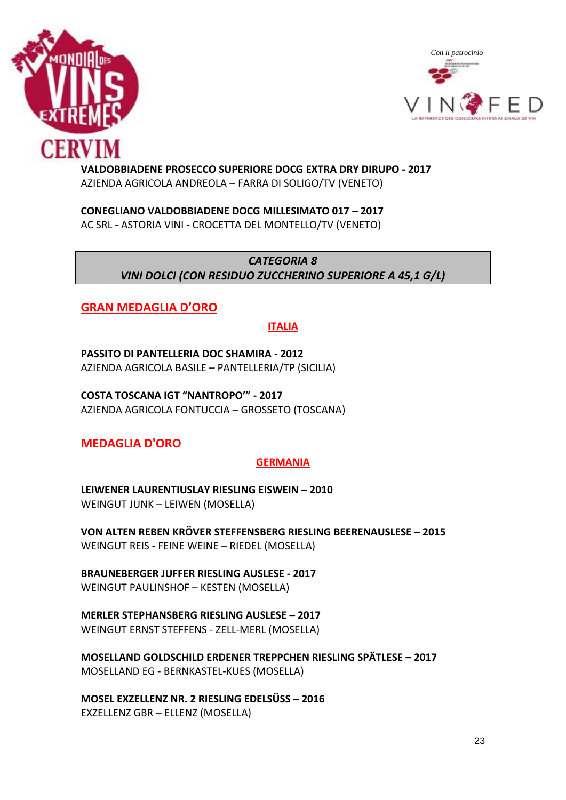



#### **VALDOBBIADENE PROSECCO SUPERIORE DOCG EXTRA DRY DIRUPO - 2017** AZIENDA AGRICOLA ANDREOLA – FARRA DI SOLIGO/TV (VENETO)

**CONEGLIANO VALDOBBIADENE DOCG MILLESIMATO 017 – 2017** AC SRL - ASTORIA VINI - CROCETTA DEL MONTELLO/TV (VENETO)

# *CATEGORIA 8 VINI DOLCI (CON RESIDUO ZUCCHERINO SUPERIORE A 45,1 G/L)*

# **GRAN MEDAGLIA D'ORO**

#### **ITALIA**

**PASSITO DI PANTELLERIA DOC SHAMIRA - 2012** AZIENDA AGRICOLA BASILE – PANTELLERIA/TP (SICILIA)

**COSTA TOSCANA IGT "NANTROPO'" - 2017** AZIENDA AGRICOLA FONTUCCIA – GROSSETO (TOSCANA)

# **MEDAGLIA D'ORO**

#### **GERMANIA**

**LEIWENER LAURENTIUSLAY RIESLING EISWEIN – 2010** WEINGUT JUNK – LEIWEN (MOSELLA)

**VON ALTEN REBEN KRÖVER STEFFENSBERG RIESLING BEERENAUSLESE – 2015** WEINGUT REIS - FEINE WEINE – RIEDEL (MOSELLA)

**BRAUNEBERGER JUFFER RIESLING AUSLESE - 2017** WEINGUT PAULINSHOF – KESTEN (MOSELLA)

**MERLER STEPHANSBERG RIESLING AUSLESE – 2017** WEINGUT ERNST STEFFENS - ZELL-MERL (MOSELLA)

**MOSELLAND GOLDSCHILD ERDENER TREPPCHEN RIESLING SPÄTLESE – 2017** MOSELLAND EG - BERNKASTEL-KUES (MOSELLA)

**MOSEL EXZELLENZ NR. 2 RIESLING EDELSÜSS – 2016** EXZELLENZ GBR – ELLENZ (MOSELLA)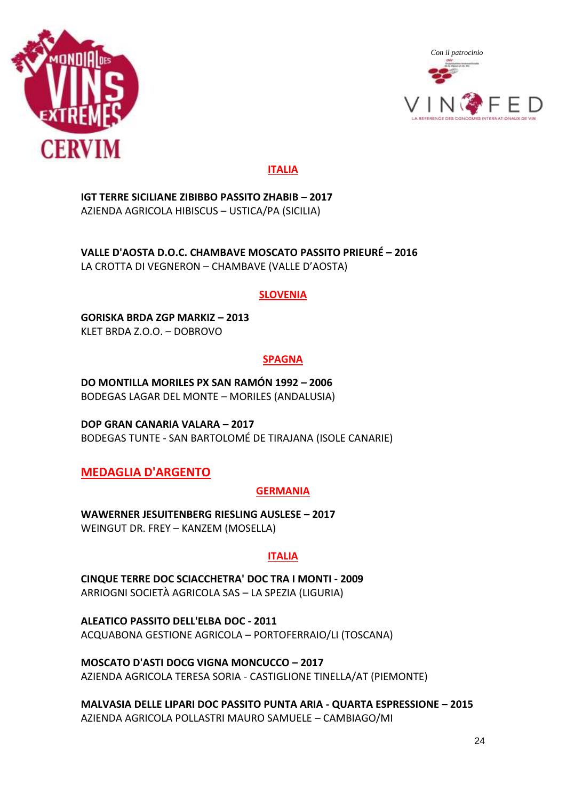



#### **ITALIA**

**IGT TERRE SICILIANE ZIBIBBO PASSITO ZHABIB – 2017** AZIENDA AGRICOLA HIBISCUS – USTICA/PA (SICILIA)

**VALLE D'AOSTA D.O.C. CHAMBAVE MOSCATO PASSITO PRIEURÉ – 2016** LA CROTTA DI VEGNERON – CHAMBAVE (VALLE D'AOSTA)

#### **SLOVENIA**

**GORISKA BRDA ZGP MARKIZ – 2013** KLET BRDA Z.O.O. – DOBROVO

#### **SPAGNA**

**DO MONTILLA MORILES PX SAN RAMÓN 1992 – 2006** BODEGAS LAGAR DEL MONTE – MORILES (ANDALUSIA)

**DOP GRAN CANARIA VALARA – 2017** BODEGAS TUNTE - SAN BARTOLOMÉ DE TIRAJANA (ISOLE CANARIE)

# **MEDAGLIA D'ARGENTO**

#### **GERMANIA**

**WAWERNER JESUITENBERG RIESLING AUSLESE – 2017** WEINGUT DR. FREY – KANZEM (MOSELLA)

#### **ITALIA**

**CINQUE TERRE DOC SCIACCHETRA' DOC TRA I MONTI - 2009** ARRIOGNI SOCIETÀ AGRICOLA SAS – LA SPEZIA (LIGURIA)

**ALEATICO PASSITO DELL'ELBA DOC - 2011** ACQUABONA GESTIONE AGRICOLA – PORTOFERRAIO/LI (TOSCANA)

**MOSCATO D'ASTI DOCG VIGNA MONCUCCO – 2017** AZIENDA AGRICOLA TERESA SORIA - CASTIGLIONE TINELLA/AT (PIEMONTE)

**MALVASIA DELLE LIPARI DOC PASSITO PUNTA ARIA - QUARTA ESPRESSIONE – 2015** AZIENDA AGRICOLA POLLASTRI MAURO SAMUELE – CAMBIAGO/MI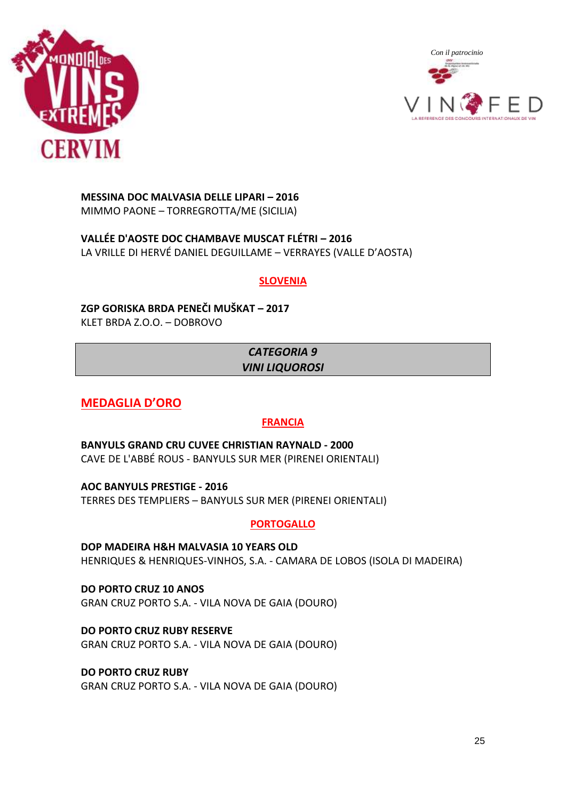



**MESSINA DOC MALVASIA DELLE LIPARI – 2016** MIMMO PAONE – TORREGROTTA/ME (SICILIA)

**VALLÉE D'AOSTE DOC CHAMBAVE MUSCAT FLÉTRI – 2016** LA VRILLE DI HERVÉ DANIEL DEGUILLAME – VERRAYES (VALLE D'AOSTA)

#### **SLOVENIA**

**ZGP GORISKA BRDA PENEČI MUŠKAT – 2017** KLET BRDA Z.O.O. – DOBROVO

# *CATEGORIA 9 VINI LIQUOROSI*

**MEDAGLIA D'ORO**

# **FRANCIA**

**BANYULS GRAND CRU CUVEE CHRISTIAN RAYNALD - 2000** CAVE DE L'ABBÉ ROUS - BANYULS SUR MER (PIRENEI ORIENTALI)

**AOC BANYULS PRESTIGE - 2016** TERRES DES TEMPLIERS – BANYULS SUR MER (PIRENEI ORIENTALI)

**PORTOGALLO**

**DOP MADEIRA H&H MALVASIA 10 YEARS OLD** HENRIQUES & HENRIQUES-VINHOS, S.A. - CAMARA DE LOBOS (ISOLA DI MADEIRA)

**DO PORTO CRUZ 10 ANOS** GRAN CRUZ PORTO S.A. - VILA NOVA DE GAIA (DOURO)

**DO PORTO CRUZ RUBY RESERVE** GRAN CRUZ PORTO S.A. - VILA NOVA DE GAIA (DOURO)

**DO PORTO CRUZ RUBY** GRAN CRUZ PORTO S.A. - VILA NOVA DE GAIA (DOURO)